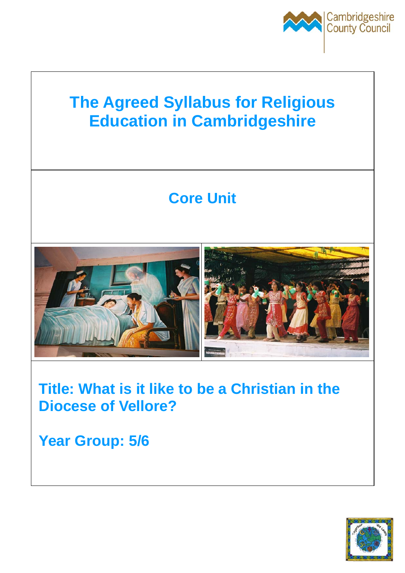

# **The Agreed Syllabus for Religious Education in Cambridgeshire**

# **Core Unit**



# **Title: What is it like to be a Christian in the Diocese of Vellore?**

**Year Group: 5/6** 

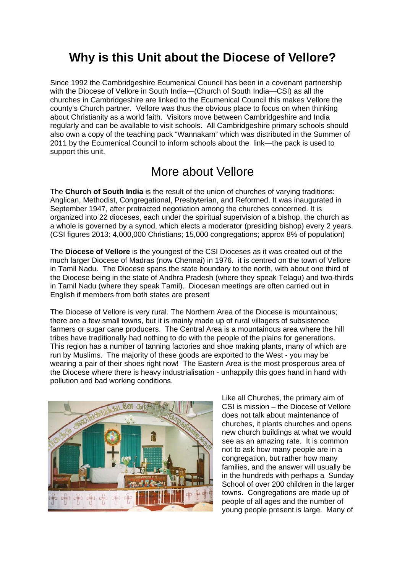# **Why is this Unit about the Diocese of Vellore?**

Since 1992 the Cambridgeshire Ecumenical Council has been in a covenant partnership with the Diocese of Vellore in South India—(Church of South India—CSI) as all the churches in Cambridgeshire are linked to the Ecumenical Council this makes Vellore the county's Church partner. Vellore was thus the obvious place to focus on when thinking about Christianity as a world faith. Visitors move between Cambridgeshire and India regularly and can be available to visit schools. All Cambridgeshire primary schools should also own a copy of the teaching pack "Wannakam" which was distributed in the Summer of 2011 by the Ecumenical Council to inform schools about the link—the pack is used to support this unit.

## More about Vellore

The **Church of South India** is the result of the union of churches of varying traditions: Anglican, Methodist, Congregational, Presbyterian, and Reformed. It was inaugurated in September 1947, after protracted negotiation among the churches concerned. It is organized into 22 dioceses, each under the spiritual supervision of a bishop, the church as a whole is governed by a synod, which elects a moderator (presiding bishop) every 2 years. (CSI figures 2013: 4,000,000 Christians; 15,000 congregations; approx 8% of population)

The **Diocese of Vellore** is the youngest of the CSI Dioceses as it was created out of the much larger Diocese of Madras (now Chennai) in 1976. it is centred on the town of Vellore in Tamil Nadu. The Diocese spans the state boundary to the north, with about one third of the Diocese being in the state of Andhra Pradesh (where they speak Telagu) and two-thirds in Tamil Nadu (where they speak Tamil). Diocesan meetings are often carried out in English if members from both states are present

The Diocese of Vellore is very rural. The Northern Area of the Diocese is mountainous; there are a few small towns, but it is mainly made up of rural villagers of subsistence farmers or sugar cane producers. The Central Area is a mountainous area where the hill tribes have traditionally had nothing to do with the people of the plains for generations. This region has a number of tanning factories and shoe making plants, many of which are run by Muslims. The majority of these goods are exported to the West - you may be wearing a pair of their shoes right now! The Eastern Area is the most prosperous area of the Diocese where there is heavy industrialisation - unhappily this goes hand in hand with pollution and bad working conditions.



Like all Churches, the primary aim of CSI is mission – the Diocese of Vellore does not talk about maintenance of churches, it plants churches and opens new church buildings at what we would see as an amazing rate. It is common not to ask how many people are in a congregation, but rather how many families, and the answer will usually be in the hundreds with perhaps a Sunday School of over 200 children in the larger towns. Congregations are made up of people of all ages and the number of young people present is large. Many of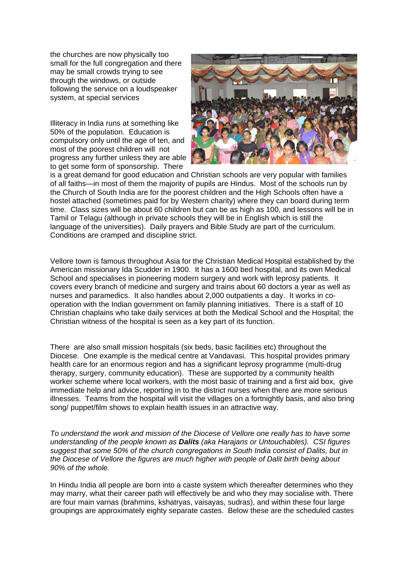the churches are now physically too small for the full congregation and there may be small crowds trying to see through the windows, or outside following the service on a loudspeaker system, at special services

Illiteracy in India runs at something like 50% of the population. Education is compulsory only until the age of ten, and most of the poorest children will not progress any further unless they are able to get some form of sponsorship. There



is a great demand for good education and Christian schools are very popular with families of all faiths—in most of them the majority of pupils are Hindus. Most of the schools run by the Church of South India are for the poorest children and the High Schools often have a hostel attached (sometimes paid for by Western charity) where they can board during term time. Class sizes will be about 60 children but can be as high as 100, and lessons will be in Tamil or Telagu (although in private schools they will be in English which is still the language of the universities). Daily prayers and Bible Study are part of the curriculum. Conditions are cramped and discipline strict.

Vellore town is famous throughout Asia for the Christian Medical Hospital established by the American missionary Ida Scudder in 1900. It has a 1600 bed hospital, and its own Medical School and specialises in pioneering modern surgery and work with leprosy patients. It covers every branch of medicine and surgery and trains about 60 doctors a year as well as nurses and paramedics. It also handles about 2,000 outpatients a day. It works in cooperation with the Indian government on family planning initiatives. There is a staff of 10 Christian chaplains who take daily services at both the Medical School and the Hospital; the Christian witness of the hospital is seen as a key part of its function.

There are also small mission hospitals (six beds, basic facilities etc) throughout the Diocese. One example is the medical centre at Vandavasi. This hospital provides primary health care for an enormous region and has a significant leprosy programme (multi-drug therapy, surgery, community education). These are supported by a community health worker scheme where local workers, with the most basic of training and a first aid box, give immediate help and advice, reporting in to the district nurses when there are more serious illnesses. Teams from the hospital will visit the villages on a fortnightly basis, and also bring song/ puppet/film shows to explain health issues in an attractive way.

*To understand the work and mission of the Diocese of Vellore one really has to have some understanding of the people known as Dalits (aka Harajans or Untouchables). CSI figures suggest that some 50% of the church congregations in South India consist of Dalits, but in the Diocese of Vellore the figures are much higher with people of Dalit birth being about 90% of the whole.* 

In Hindu India all people are born into a caste system which thereafter determines who they may marry, what their career path will effectively be and who they may socialise with. There are four main varnas (brahmins, kshatryas, vaisayas, sudras), and within these four large groupings are approximately eighty separate castes. Below these are the scheduled castes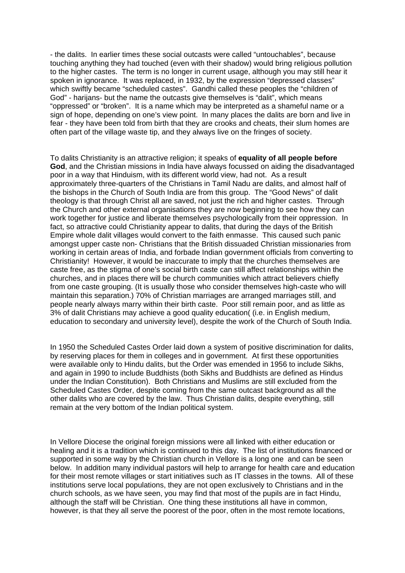- the dalits. In earlier times these social outcasts were called "untouchables", because touching anything they had touched (even with their shadow) would bring religious pollution to the higher castes. The term is no longer in current usage, although you may still hear it spoken in ignorance. It was replaced, in 1932, by the expression "depressed classes" which swiftly became "scheduled castes". Gandhi called these peoples the "children of God" - harijans- but the name the outcasts give themselves is "dalit", which means "oppressed" or "broken". It is a name which may be interpreted as a shameful name or a sign of hope, depending on one's view point. In many places the dalits are born and live in fear - they have been told from birth that they are crooks and cheats, their slum homes are often part of the village waste tip, and they always live on the fringes of society.

To dalits Christianity is an attractive religion; it speaks of **equality of all people before God**, and the Christian missions in India have always focussed on aiding the disadvantaged poor in a way that Hinduism, with its different world view, had not. As a result approximately three-quarters of the Christians in Tamil Nadu are dalits, and almost half of the bishops in the Church of South India are from this group. The "Good News" of dalit theology is that through Christ all are saved, not just the rich and higher castes. Through the Church and other external organisations they are now beginning to see how they can work together for justice and liberate themselves psychologically from their oppression. In fact, so attractive could Christianity appear to dalits, that during the days of the British Empire whole dalit villages would convert to the faith enmasse. This caused such panic amongst upper caste non- Christians that the British dissuaded Christian missionaries from working in certain areas of India, and forbade Indian government officials from converting to Christianity! However, it would be inaccurate to imply that the churches themselves are caste free, as the stigma of one's social birth caste can still affect relationships within the churches, and in places there will be church communities which attract believers chiefly from one caste grouping. (It is usually those who consider themselves high-caste who will maintain this separation.) 70% of Christian marriages are arranged marriages still, and people nearly always marry within their birth caste. Poor still remain poor, and as little as 3% of dalit Christians may achieve a good quality education( (i.e. in English medium, education to secondary and university level), despite the work of the Church of South India.

In 1950 the Scheduled Castes Order laid down a system of positive discrimination for dalits, by reserving places for them in colleges and in government. At first these opportunities were available only to Hindu dalits, but the Order was emended in 1956 to include Sikhs, and again in 1990 to include Buddhists (both Sikhs and Buddhists are defined as Hindus under the Indian Constitution). Both Christians and Muslims are still excluded from the Scheduled Castes Order, despite coming from the same outcast background as all the other dalits who are covered by the law. Thus Christian dalits, despite everything, still remain at the very bottom of the Indian political system.

In Vellore Diocese the original foreign missions were all linked with either education or healing and it is a tradition which is continued to this day. The list of institutions financed or supported in some way by the Christian church in Vellore is a long one and can be seen below. In addition many individual pastors will help to arrange for health care and education for their most remote villages or start initiatives such as IT classes in the towns. All of these institutions serve local populations, they are not open exclusively to Christians and in the church schools, as we have seen, you may find that most of the pupils are in fact Hindu, although the staff will be Christian. One thing these institutions all have in common, however, is that they all serve the poorest of the poor, often in the most remote locations,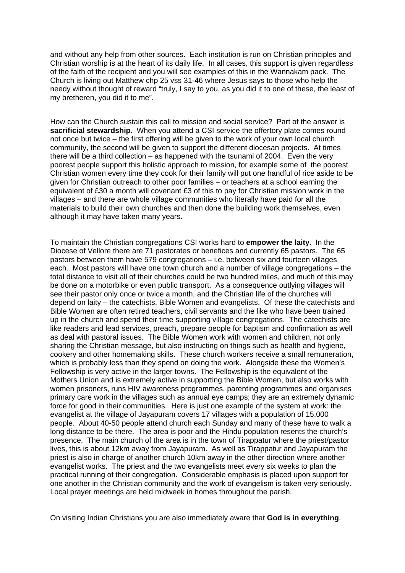and without any help from other sources. Each institution is run on Christian principles and Christian worship is at the heart of its daily life. In all cases, this support is given regardless of the faith of the recipient and you will see examples of this in the Wannakam pack. The Church is living out Matthew chp 25 vss 31-46 where Jesus says to those who help the needy without thought of reward "truly, I say to you, as you did it to one of these, the least of my bretheren, you did it to me".

How can the Church sustain this call to mission and social service? Part of the answer is **sacrificial stewardship**. When you attend a CSI service the offertory plate comes round not once but twice – the first offering will be given to the work of your own local church community, the second will be given to support the different diocesan projects. At times there will be a third collection – as happened with the tsunami of 2004. Even the very poorest people support this holistic approach to mission, for example some of the poorest Christian women every time they cook for their family will put one handful of rice aside to be given for Christian outreach to other poor families – or teachers at a school earning the equivalent of £30 a month will covenant  $£3$  of this to pay for Christian mission work in the villages – and there are whole village communities who literally have paid for all the materials to build their own churches and then done the building work themselves, even although it may have taken many years.

To maintain the Christian congregations CSI works hard to **empower the laity**. In the Diocese of Vellore there are 71 pastorates or benefices and currently 65 pastors. The 65 pastors between them have 579 congregations – i.e. between six and fourteen villages each. Most pastors will have one town church and a number of village congregations – the total distance to visit all of their churches could be two hundred miles, and much of this may be done on a motorbike or even public transport. As a consequence outlying villages will see their pastor only once or twice a month, and the Christian life of the churches will depend on laity – the catechists, Bible Women and evangelists. Of these the catechists and Bible Women are often retired teachers, civil servants and the like who have been trained up in the church and spend their time supporting village congregations. The catechists are like readers and lead services, preach, prepare people for baptism and confirmation as well as deal with pastoral issues. The Bible Women work with women and children, not only sharing the Christian message, but also instructing on things such as health and hygiene, cookery and other homemaking skills. These church workers receive a small remuneration, which is probably less than they spend on doing the work. Alongside these the Women's Fellowship is very active in the larger towns. The Fellowship is the equivalent of the Mothers Union and is extremely active in supporting the Bible Women, but also works with women prisoners, runs HIV awareness programmes, parenting programmes and organises primary care work in the villages such as annual eye camps; they are an extremely dynamic force for good in their communities. Here is just one example of the system at work: the evangelist at the village of Jayapuram covers 17 villages with a population of 15,000 people. About 40-50 people attend church each Sunday and many of these have to walk a long distance to be there. The area is poor and the Hindu population resents the church's presence. The main church of the area is in the town of Tirappatur where the priest/pastor lives, this is about 12km away from Jayapuram. As well as Tirappatur and Jayapuram the priest is also in charge of another church 10km away in the other direction where another evangelist works. The priest and the two evangelists meet every six weeks to plan the practical running of their congregation. Considerable emphasis is placed upon support for one another in the Christian community and the work of evangelism is taken very seriously. Local prayer meetings are held midweek in homes throughout the parish.

On visiting Indian Christians you are also immediately aware that **God is in everything**.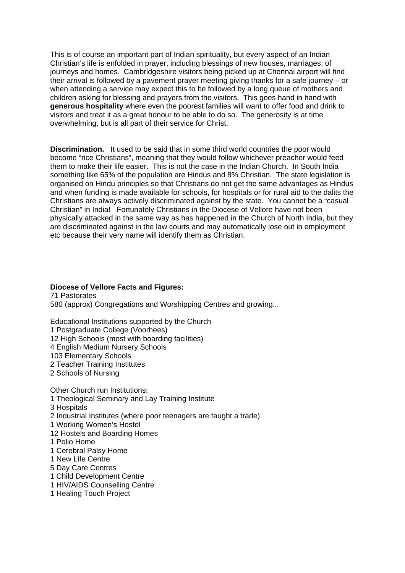This is of course an important part of Indian spirituality, but every aspect of an Indian Christian's life is enfolded in prayer, including blessings of new houses, marriages, of journeys and homes. Cambridgeshire visitors being picked up at Chennai airport will find their arrival is followed by a pavement prayer meeting giving thanks for a safe journey – or when attending a service may expect this to be followed by a long queue of mothers and children asking for blessing and prayers from the visitors. This goes hand in hand with **generous hospitality** where even the poorest families will want to offer food and drink to visitors and treat it as a great honour to be able to do so. The generosity is at time overwhelming, but is all part of their service for Christ.

**Discrimination.** It used to be said that in some third world countries the poor would become "rice Christians", meaning that they would follow whichever preacher would feed them to make their life easier. This is not the case in the Indian Church. In South India something like 65% of the population are Hindus and 8% Christian. The state legislation is organised on Hindu principles so that Christians do not get the same advantages as Hindus and when funding is made available for schools, for hospitals or for rural aid to the dalits the Christians are always actively discriminated against by the state. You cannot be a "casual Christian" in India! Fortunately Christians in the Diocese of Vellore have not been physically attacked in the same way as has happened in the Church of North India, but they are discriminated against in the law courts and may automatically lose out in employment etc because their very name will identify them as Christian.

#### **Diocese of Vellore Facts and Figures:**

71 Pastorates 580 (approx) Congregations and Worshipping Centres and growing...

Educational Institutions supported by the Church 1 Postgraduate College (Voorhees) 12 High Schools (most with boarding facilities) 4 English Medium Nursery Schools 103 Elementary Schools 2 Teacher Training Institutes 2 Schools of Nursing

Other Church run Institutions:

1 Theological Seminary and Lay Training Institute

3 Hospitals

2 Industrial Institutes (where poor teenagers are taught a trade)

1 Working Women's Hostel

12 Hostels and Boarding Homes

1 Polio Home

1 Cerebral Palsy Home

1 New Life Centre

5 Day Care Centres

1 Child Development Centre

1 HIV/AIDS Counselling Centre

1 Healing Touch Project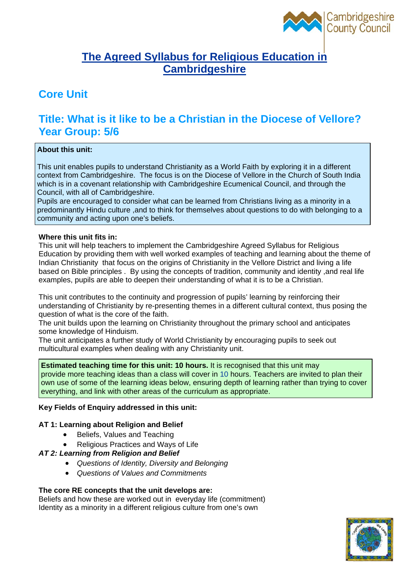

### **The Agreed Syllabus for Religious Education in Cambridgeshire**

## **Core Unit**

## **Title: What is it like to be a Christian in the Diocese of Vellore? Year Group: 5/6**

#### **About this unit:**

This unit enables pupils to understand Christianity as a World Faith by exploring it in a different context from Cambridgeshire. The focus is on the Diocese of Vellore in the Church of South India which is in a covenant relationship with Cambridgeshire Ecumenical Council, and through the Council, with all of Cambridgeshire.

Pupils are encouraged to consider what can be learned from Christians living as a minority in a predominantly Hindu culture ,and to think for themselves about questions to do with belonging to a community and acting upon one's beliefs.

#### **Where this unit fits in:**

This unit will help teachers to implement the Cambridgeshire Agreed Syllabus for Religious Education by providing them with well worked examples of teaching and learning about the theme of Indian Christianity that focus on the origins of Christianity in the Vellore District and living a life based on Bible principles . By using the concepts of tradition, community and identity ,and real life examples, pupils are able to deepen their understanding of what it is to be a Christian.

This unit contributes to the continuity and progression of pupils' learning by reinforcing their understanding of Christianity by re-presenting themes in a different cultural context, thus posing the question of what is the core of the faith.

The unit builds upon the learning on Christianity throughout the primary school and anticipates some knowledge of Hinduism.

The unit anticipates a further study of World Christianity by encouraging pupils to seek out multicultural examples when dealing with any Christianity unit.

**Estimated teaching time for this unit: 10 hours.** It is recognised that this unit may provide more teaching ideas than a class will cover in 10 hours. Teachers are invited to plan their own use of some of the learning ideas below, ensuring depth of learning rather than trying to cover everything, and link with other areas of the curriculum as appropriate.

#### **Key Fields of Enquiry addressed in this unit:**

#### **AT 1: Learning about Religion and Belief**

- Beliefs, Values and Teaching
- Religious Practices and Ways of Life

#### *AT 2: Learning from Religion and Belief*

- *Questions of Identity, Diversity and Belonging*
- *Questions of Values and Commitments*

#### **The core RE concepts that the unit develops are:**

Beliefs and how these are worked out in everyday life (commitment) Identity as a minority in a different religious culture from one's own

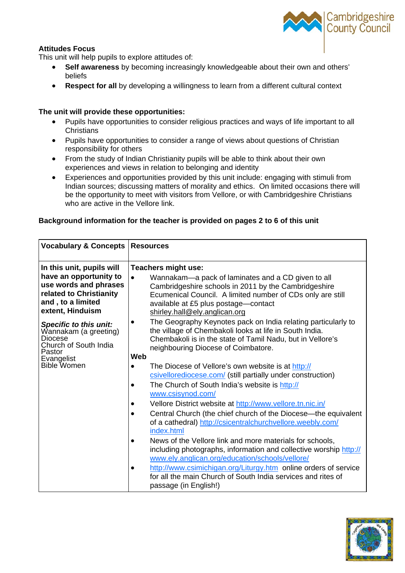#### **Attitudes Focus**

This unit will help pupils to explore attitudes of:

- **Self awareness** by becoming increasingly knowledgeable about their own and others' beliefs
- **Respect for all** by developing a willingness to learn from a different cultural context

#### **The unit will provide these opportunities:**

- Pupils have opportunities to consider religious practices and ways of life important to all **Christians**
- Pupils have opportunities to consider a range of views about questions of Christian responsibility for others
- From the study of Indian Christianity pupils will be able to think about their own experiences and views in relation to belonging and identity
- Experiences and opportunities provided by this unit include: engaging with stimuli from Indian sources; discussing matters of morality and ethics. On limited occasions there will be the opportunity to meet with visitors from Vellore, or with Cambridgeshire Christians who are active in the Vellore link.

#### **Background information for the teacher is provided on pages 2 to 6 of this unit**

| <b>Vocabulary &amp; Concepts</b>                                                                                                                                                                                                                                       | <b>Resources</b>                                                                                                                                                                                                                                                                                                                                                                                                                                                                                                                                                                                                                                                                                                                                                                           |
|------------------------------------------------------------------------------------------------------------------------------------------------------------------------------------------------------------------------------------------------------------------------|--------------------------------------------------------------------------------------------------------------------------------------------------------------------------------------------------------------------------------------------------------------------------------------------------------------------------------------------------------------------------------------------------------------------------------------------------------------------------------------------------------------------------------------------------------------------------------------------------------------------------------------------------------------------------------------------------------------------------------------------------------------------------------------------|
| In this unit, pupils will<br>have an opportunity to<br>use words and phrases<br>related to Christianity<br>and, to a limited<br>extent, Hinduism<br>Specific to this unit:<br>Wannakam (a greeting)<br><b>Diocese</b><br>Church of South India<br>Pastor<br>Evangelist | Teachers might use:<br>$\bullet$<br>Wannakam—a pack of laminates and a CD given to all<br>Cambridgeshire schools in 2011 by the Cambridgeshire<br>Ecumenical Council. A limited number of CDs only are still<br>available at £5 plus postage-contact<br>shirley.hall@ely.anglican.org<br>The Geography Keynotes pack on India relating particularly to<br>the village of Chembakoli looks at life in South India.<br>Chembakoli is in the state of Tamil Nadu, but in Vellore's<br>neighbouring Diocese of Coimbatore.<br>Web                                                                                                                                                                                                                                                              |
| <b>Bible Women</b>                                                                                                                                                                                                                                                     | The Diocese of Vellore's own website is at http://<br>$\bullet$<br>csivellorediocese.com/ (still partially under construction)<br>The Church of South India's website is http://<br>$\bullet$<br>www.csisynod.com/<br>Vellore District website at http://www.vellore.tn.nic.in/<br>Central Church (the chief church of the Diocese—the equivalent<br>of a cathedral) http://csicentralchurchvellore.weebly.com/<br>index.html<br>News of the Vellore link and more materials for schools,<br>$\bullet$<br>including photographs, information and collective worship http://<br>www.ely.anglican.org/education/schools/vellore/<br>http://www.csimichigan.org/Liturgy.htm online orders of service<br>for all the main Church of South India services and rites of<br>passage (in English!) |



Cambridgeshire<br>County Council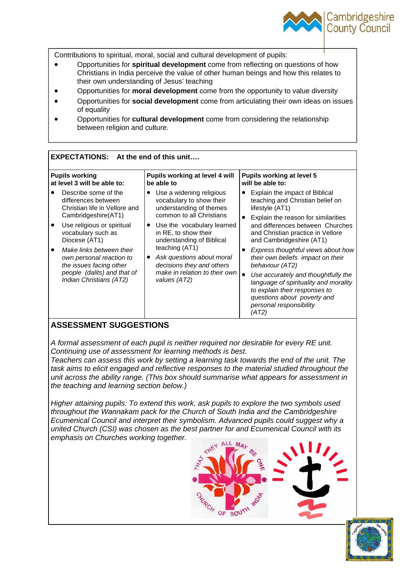

Contributions to spiritual, moral, social and cultural development of pupils:

- Opportunities for **spiritual development** come from reflecting on questions of how Christians in India perceive the value of other human beings and how this relates to their own understanding of Jesus' teaching
- Opportunities for **moral development** come from the opportunity to value diversity
- Opportunities for **social development** come from articulating their own ideas on issues of equality
- Opportunities for **cultural development** come from considering the relationship between religion and culture.

| <b>EXPECTATIONS:</b><br>At the end of this unit                                                                                                                                                                                                                                                                       |                                                                                                                                                                                                                                                                                                                             |                                                                                                                                                                                                                                                                                                                                                                                                                                                                                                                                  |  |  |  |  |
|-----------------------------------------------------------------------------------------------------------------------------------------------------------------------------------------------------------------------------------------------------------------------------------------------------------------------|-----------------------------------------------------------------------------------------------------------------------------------------------------------------------------------------------------------------------------------------------------------------------------------------------------------------------------|----------------------------------------------------------------------------------------------------------------------------------------------------------------------------------------------------------------------------------------------------------------------------------------------------------------------------------------------------------------------------------------------------------------------------------------------------------------------------------------------------------------------------------|--|--|--|--|
| <b>Pupils working</b><br>at level 3 will be able to:                                                                                                                                                                                                                                                                  | Pupils working at level 4 will<br>be able to                                                                                                                                                                                                                                                                                | <b>Pupils working at level 5</b><br>will be able to:                                                                                                                                                                                                                                                                                                                                                                                                                                                                             |  |  |  |  |
| Describe some of the<br>differences between<br>Christian life in Vellore and<br>Cambridgeshire(AT1)<br>Use religious or spiritual<br>vocabulary such as<br>Diocese (AT1)<br>Make links between their<br>own personal reaction to<br>the issues facing other<br>people (dalits) and that of<br>Indian Christians (AT2) | Use a widening religious<br>vocabulary to show their<br>understanding of themes<br>common to all Christians<br>Use the vocabulary learned<br>in RE, to show their<br>understanding of Biblical<br>teaching (AT1)<br>Ask questions about moral<br>decisions they and others<br>make in relation to their own<br>values (AT2) | Explain the impact of Biblical<br>teaching and Christian belief on<br>lifestyle (AT1)<br>Explain the reason for similarities<br>and differences between Churches<br>and Christian practice in Vellore<br>and Cambridgeshire (AT1)<br>Express thoughtful views about how<br>their own beliefs impact on their<br>behaviour (AT2)<br>$\bullet$<br>Use accurately and thoughtfully the<br>language of spirituality and morality<br>to explain their responses to<br>questions about poverty and<br>personal responsibility<br>(AT2) |  |  |  |  |

#### **ASSESSMENT SUGGESTIONS**

*A formal assessment of each pupil is neither required nor desirable for every RE unit. Continuing use of assessment for learning methods is best.* 

*Teachers can assess this work by setting a learning task towards the end of the unit. The task aims to elicit engaged and reflective responses to the material studied throughout the unit across the ability range. (This box should summarise what appears for assessment in the teaching and learning section below.)* 

*Higher attaining pupils: To extend this work, ask pupils to explore the two symbols used throughout the Wannakam pack for the Church of South India and the Cambridgeshire Ecumenical Council and interpret their symbolism. Advanced pupils could suggest why a united Church (CSI) was chosen as the best partner for and Ecumenical Council with its emphasis on Churches working together.* 



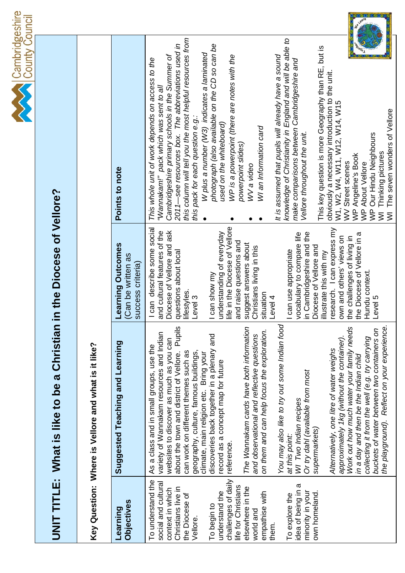

# UNIT TITLE: What is like to be a Christian in the Diocese of Vellore? **UNIT TITLE: What is like to be a Christian in the Diocese of Vellore?**

|                                                     | Points to note                                               | this column will tell you the most helpful resources from<br>knowledge of Christianity in England and will be able to<br>photograph (also available on the CD so can be<br>2011—see resources box. The abbreviations used in<br>This key question is more Geography than RE, but is<br>W plus a number (W3) indicates a laminated<br>Cambridgeshire primary schools in the Summer of<br>It is assumed that pupils will already have a sound<br>WP is a powerpoint (there are notes with the<br>This whole unit of work depends on access to the<br>make comparisons between Cambridgeshire and<br>obviously a necessary introduction to the unit.<br>W1, W2, W4, W11, W12, W14, W15<br>WV Street scenes<br>"Wannakam!" pack which was sent to all<br>The seven wonders of Vellore<br>this pack for each question e.g.:<br>used on the whiteboard)<br>WI an Information card<br>Vellore throughout the unit.<br>WP Our Hindu Neighbours<br>powerpoint slides)<br>Thinking pictures<br>WP Angeline's Book<br>WP About Vellore<br>WV a video<br>ξ<br>ξ |
|-----------------------------------------------------|--------------------------------------------------------------|-----------------------------------------------------------------------------------------------------------------------------------------------------------------------------------------------------------------------------------------------------------------------------------------------------------------------------------------------------------------------------------------------------------------------------------------------------------------------------------------------------------------------------------------------------------------------------------------------------------------------------------------------------------------------------------------------------------------------------------------------------------------------------------------------------------------------------------------------------------------------------------------------------------------------------------------------------------------------------------------------------------------------------------------------------|
|                                                     | Learning Outcomes<br>(Can be written as<br>success criteria) | ife in the Diocese of Vellore<br>I can describe some social<br>research. I can express my<br>and cultural features of the<br>Diocese of Vellore and ask<br>vocabulary to compare life<br>in Cambridgeshire and the<br>understanding of everyday<br>the Diocese of Vellore in a<br>own and others' views on<br>the challenges of living in<br>and raise questions and<br>suggest answers about<br>Diocese of Vellore and<br>Christians living in this<br>can use appropriate<br>questions about local<br>illustrate this with my<br>Hundu context<br>can show my<br>lifestyles.<br>situation<br>Level 3<br>Level 4<br>Level 5                                                                                                                                                                                                                                                                                                                                                                                                                        |
| Key Question: Where is Vellore and what is it like? | Suggested Teaching and Learning                              | You may also like to try out some Indian food<br>the playground). Reflect on your experience.<br><b>Pupils</b><br>The Wannakam cards have both information<br>Work out how much water your family needs<br>buckets of water between two containers on<br>on them and can help focus the exploration.<br>variety of Wannakam resources and Indian<br>and observational and reflective questions<br>discoveries back together in a plenary and<br>collecting it from the well (e.g. try carrying<br>approximately 1kg (without the container).<br>websites to discover as much as you can<br>As a class and in small groups, use the<br>Alternatively, one litre of water weighs<br>about the town and district of Vellore.<br>geography, culture, famous buildings,<br>can work on different themes such as<br>climate, main religion etc. Bring your<br>in a day and then be the Indian child<br>record as a concept map for future<br>Or try dahl (available from most<br>WI Two Indian recipes<br>supermarkets)<br>at this point:<br>reference.   |
|                                                     | <b>Objectives</b><br>Learning                                | challenges of daily<br>To understand the<br>social and cultural<br>idea of being in a<br>life for Christians<br>elsewhere in the<br>Christians live in<br>context in which<br>minority in your<br>empathise with<br>own homeland.<br>understand the<br>To explore the<br>the Diocese of<br>To begin to<br>world and<br>Vellore.<br>them.                                                                                                                                                                                                                                                                                                                                                                                                                                                                                                                                                                                                                                                                                                            |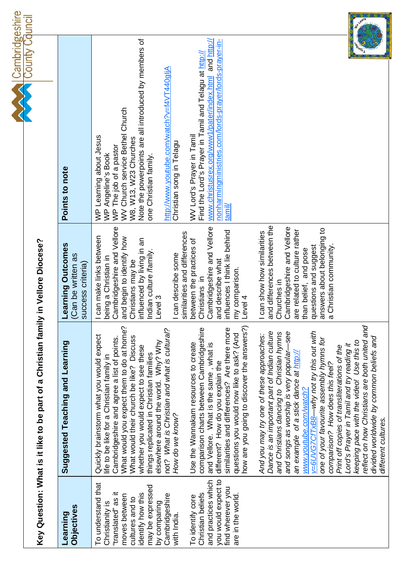| Cambridgeshire<br>County Council |                                                                                    | Points to note                                               | Note the powerpoints are all introduced by members of<br>nonharmingministries.com/lords-prayer/lords-prayer-in-<br>www.christusrex.org/www1/pater/index.html and http://<br>Find the Lord's Prayer in Tamil and Telagu at http://<br>http://www.youtube.com/watch?v=f4VT440gljA<br>WV Church service Bethel Church<br>WV Lord's Prayer in Tamil<br>WP Learning about Jesus<br>WP Angeline's Book<br>W8, W13, W23 Churches<br>Christian song in Telagu<br>WP The job of a pastor<br>one Christian family.<br>tanil                                                                                                                                                                                                                                                                                                                                                                                                                                                                                                                                                                                                                                                                                                                                                                                                                                                                             |
|----------------------------------|------------------------------------------------------------------------------------|--------------------------------------------------------------|-----------------------------------------------------------------------------------------------------------------------------------------------------------------------------------------------------------------------------------------------------------------------------------------------------------------------------------------------------------------------------------------------------------------------------------------------------------------------------------------------------------------------------------------------------------------------------------------------------------------------------------------------------------------------------------------------------------------------------------------------------------------------------------------------------------------------------------------------------------------------------------------------------------------------------------------------------------------------------------------------------------------------------------------------------------------------------------------------------------------------------------------------------------------------------------------------------------------------------------------------------------------------------------------------------------------------------------------------------------------------------------------------|
|                                  |                                                                                    | Learning Outcomes<br>(Can be written as<br>success criteria) | and differences between the<br>Cambridgeshire and Vellore<br>Cambridgeshire and Vellore<br>Cambridgeshire and Vellore<br>answers about belonging to<br>are related to culture rather<br>influences I think lie behind<br>I can show how similarities<br>similarities and differences<br>I can make links between<br>and begin to identify how<br>influenced by living in an<br>between the practices of<br>questions and suggest<br>a Christian community<br>than belief, and pose<br>Indian culture /family.<br>I can describe some<br>being a Christian in<br>and describe what<br>Christians may be<br>my comparison.<br>Christians in<br>Churches in<br>Level 3<br>Level 4                                                                                                                                                                                                                                                                                                                                                                                                                                                                                                                                                                                                                                                                                                                |
|                                  | Key Question: What is it like to be part of a Christian family in Vellore Diocese? | Suggested Teaching and Learning                              | reflect on how Christians are both united and<br>What would you expect them to do at home?<br>how are you going to discover the answers?)<br>comparison charts between Cambridgeshire<br>similarities and differences? Are there more<br>not? What is Christian and what is cultural?<br>Dance is an important part of Indian culture<br>v=6UVG7CfTxB8-why not try this out with<br>-see<br>and Christians dancing to Christian hymns<br>questions you would now like to ask? (And<br>And you may try one of these approaches:<br>Quickly brainstorm what you would expect<br>What would their church be like? Discuss<br>divided worldwide by common beliefs and<br>Cambridgeshire and agree a list of points.<br>one of your favourite assembly hymns for<br>keeping pace with the video! Use this to<br>elsewhere around the world. Why? Why<br>Use the Wannakam resources to create<br>Lord's Prayer in Tamil and try reading it<br>and Vellore. What is the same, what is<br>whether you would expect to see these<br>Print off copies of transliterations of the<br>and songs as worship is very popular-<br>an example of a stick dance at http://<br>things replicated in Christian families<br>life to be like for a Christian family in<br>different? How do you explain the<br>comparison? How does this feel?<br>www.youtube.com/watch?<br>How do we know?<br>different cultures. |
|                                  |                                                                                    | Objectives<br>Learning                                       | you would expect to<br>and practices which<br>To understand that<br>may be expressed<br>find wherever you<br>"translated" as it<br>Christian beliefs<br>identify how this<br>Cambridgeshire<br>moves between<br>are in the world.<br>To identify core<br>cultures and to<br>Christianity is<br>by comparing<br>with India.                                                                                                                                                                                                                                                                                                                                                                                                                                                                                                                                                                                                                                                                                                                                                                                                                                                                                                                                                                                                                                                                    |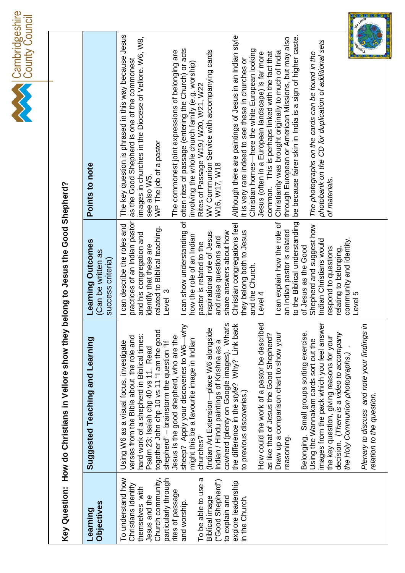Cambridgeshire<br>County Council

Key Question: How do Christians in Vellore show they belong to Jesus the Good Shepherd? **Key Question: How do Christians in Vellore show they belong to Jesus the Good Shepherd?** 

| Suggested Teaching and Learning                                                                                                   |
|-----------------------------------------------------------------------------------------------------------------------------------|
| hard work of a shepherd in Biblical times:<br>verses from the Bible about the role and<br>Using W6 as a visual focus, investigate |
| together John chp 10 vs 11 "I am the good                                                                                         |
| Jesus is the good shepherd, who are the                                                                                           |
| sheep? Apply your discoveries to W6-why                                                                                           |
| might this be a favourite image in Indian                                                                                         |
| (Indian Art Extension-place W6 alongside                                                                                          |
| cowherd (plenty on Google images). What's                                                                                         |
| the difference in the style? Why? Link back                                                                                       |
|                                                                                                                                   |
| How could the work of a pastor be described                                                                                       |
| Draw up a comparison chart to show your<br>as like that of Jesus the Good Shepherd?                                               |
|                                                                                                                                   |
| Belonging. Small groups sorting exercise.                                                                                         |
|                                                                                                                                   |
| images from the pack which you feel answer                                                                                        |
|                                                                                                                                   |
| the key question, giving reasons for your<br>decision. ( <i>There is a video to accompany</i>                                     |
| Plenary to discuss and note your findings in                                                                                      |
|                                                                                                                                   |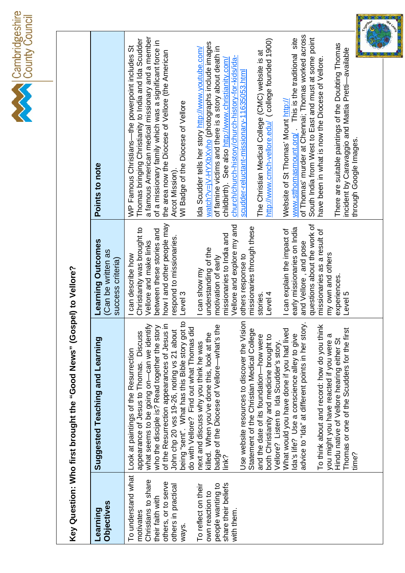

Key Question: Who first brought the "Good News" (Gospel) to Vellore? **Key Question: Who first brought the "Good News" (Gospel) to Vellore?** 

| <b>Objectives</b><br>Learning                                                                                                                                                                                                         | Suggested Teaching and Learning                                                                                                                                                                                                                                                                                                                                                                                                                                                                                                                                                                                                                                                                                                                                                                                                                                                                                                                                                                                                                                                                        | Learning Outcomes<br>Can be written as<br>success criteria                                                                                                                                                                                                                                                                                                                                                                                                                                                                                                                              | Points to note                                                                                                                                                                                                                                                                                                                                                                                                                                                                                                                                                                                                                                                                                                                                                                                                                                                                                                                                                                                                                                                                                                                                                                                                          |
|---------------------------------------------------------------------------------------------------------------------------------------------------------------------------------------------------------------------------------------|--------------------------------------------------------------------------------------------------------------------------------------------------------------------------------------------------------------------------------------------------------------------------------------------------------------------------------------------------------------------------------------------------------------------------------------------------------------------------------------------------------------------------------------------------------------------------------------------------------------------------------------------------------------------------------------------------------------------------------------------------------------------------------------------------------------------------------------------------------------------------------------------------------------------------------------------------------------------------------------------------------------------------------------------------------------------------------------------------------|-----------------------------------------------------------------------------------------------------------------------------------------------------------------------------------------------------------------------------------------------------------------------------------------------------------------------------------------------------------------------------------------------------------------------------------------------------------------------------------------------------------------------------------------------------------------------------------------|-------------------------------------------------------------------------------------------------------------------------------------------------------------------------------------------------------------------------------------------------------------------------------------------------------------------------------------------------------------------------------------------------------------------------------------------------------------------------------------------------------------------------------------------------------------------------------------------------------------------------------------------------------------------------------------------------------------------------------------------------------------------------------------------------------------------------------------------------------------------------------------------------------------------------------------------------------------------------------------------------------------------------------------------------------------------------------------------------------------------------------------------------------------------------------------------------------------------------|
| To understand what<br>Christians to share<br>others, or to serve<br>share their beliefs<br>people wanting to<br>others in practical<br>To reflect on their<br>own reaction to<br>their faith with<br>with them.<br>motivates<br>ways. | being "sent". What has this Bible story got to<br>Use website resources to discover the Vision<br>advice to "Ida" at different points in her story.<br>what seems to be going on—can we identify<br>who the disciple is? Read together the story<br>of the Resurrection appearances of Jesus in<br>To think about and record: how do you think<br>badge of the Diocese of Vellore-what's the<br>do with Vellore? Find out what Thomas did<br>Statement of the Christian Medical College<br>What would you have done if you had lived<br>Thomas or one of the Scudders for the first<br>John chp 20 vss 19-26, noting vs 21 about<br>appearance of Jesus to Thomas. Discuss<br>killed. When you've done this, look at the<br>Ida's life? Use a conscience alley to give<br>and the date of its foundation-how were<br>both Christianity and medicine brought to<br>you might you have reacted if you were a<br>Hindu native of Vellore hearing either St<br>next and discuss why you think he was<br>Vellore? Listen to Ida Scudder's story.<br>Look at paintings of the Resurrection<br>time?<br>link? | how I and other people may<br>questions about the work of<br>Vellore and explore my and<br>missionaries through these<br>early missionaries on India<br>Christianity was brought to<br>between these stories and<br>I can explain the impact of<br>missionaries as a result of<br>missionaries to India and<br>respond to missionaries.<br>Vellore and make links<br>and Vellore, and pose<br>understanding of the<br>my own and others<br>I can describe how<br>others response to<br>motivation of early<br>I can show my<br>experiences<br>Level 3<br>Level 5<br>Level 4<br>stories. | r <sub>o</sub> s<br>$\bullet$<br>of Thomas' murder at Chennai; Thomas worked across<br>a famous American medical missionary and a member<br>www.stthomasmount.org/ This is the traditional site<br>South India from West to East and must at some point<br>http://www.cmch-vellore.edu/ (college founded 1900)<br>Thomas bringing Christianity to India and Ida Scudder<br>of a missionary family which was a significant force in<br>watch?v=jV-HYXbXvho (photographs include images<br>There are suitable paintings of the Doubting Thomas<br>WP Famous Christians-the powerpoint includes St<br>of famine victims and there is a story about death in<br>Ida Scudder tells her story http://www.youtube.com/<br>incident by Caravaggio and Mattia Pretti-available<br>the area now the Diocese of Vellore (the American<br>The Christian Medical College (CMC) website is at<br>church/church-history/church-history-for-kids/ida-<br>have been in what is now the Diocese of Vellore.<br>childbirth). See also http://www.christianity.com/<br>scudder-reluctant-missionary-11635053.html<br>Website of St Thomas' Mount http://<br>WI Badge of the Diocese of Vellore<br>through Google Images.<br>Arcot Mission). |
|                                                                                                                                                                                                                                       |                                                                                                                                                                                                                                                                                                                                                                                                                                                                                                                                                                                                                                                                                                                                                                                                                                                                                                                                                                                                                                                                                                        |                                                                                                                                                                                                                                                                                                                                                                                                                                                                                                                                                                                         |                                                                                                                                                                                                                                                                                                                                                                                                                                                                                                                                                                                                                                                                                                                                                                                                                                                                                                                                                                                                                                                                                                                                                                                                                         |

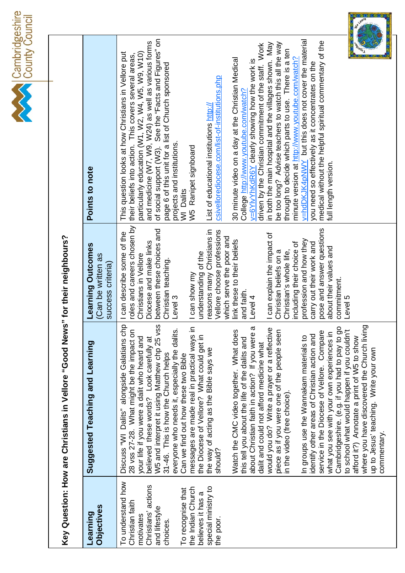Cambridgeshire<br>County Council

| I          |
|------------|
| ֧֦֧֢֢֦֧֚֬֝ |
|            |
|            |
|            |
|            |
| j          |

| Suggested Teaching and Learning                                                           | earning Outcomes<br>(Can be written as<br>success criteria | Points to note                                                                                                |
|-------------------------------------------------------------------------------------------|------------------------------------------------------------|---------------------------------------------------------------------------------------------------------------|
| Discuss "WI Dalits" alongside Galatians chp<br>28 vss 27-28. What might be the impact on  | roles and careers chosen by<br>can describe some of the    | This question looks at how Christians in Vellore put<br>their beliefs into action. This covers several areas, |
| your life if you were a dalit who heard and                                               | Christians in Vellore                                      | particularly education (W1, W2, W4, W5, W9, W10)                                                              |
| believed these words? Look carefully at                                                   | Diocese and make links                                     | and medicine (W7, W9, W24) as well as various forms                                                           |
| مَ<br>W5 and interpret it using Matthew chp 25 vss                                        | etween these choices and                                   | of social support (W3). See the "Facts and Figures" on                                                        |
| 31-46. This is how the Church helps                                                       | Christian teaching.                                        | page 6 of this unit for a list of Church sponsored                                                            |
| everyone who needs it, especially the dalits.<br>Can we find out how these two Bible      | evel 3                                                     | projects and institutions.<br>WI Dalits                                                                       |
| messages are made real in practical ways in<br>the Diocese of Vellore? What could get in  | understanding of the<br>can show my                        | Ranipet signboard<br>у5<br>У                                                                                  |
| the way of acting as the Bible says we                                                    | reasons many Christians in                                 | List of educational institutions http://                                                                      |
| $\geq$<br>should?                                                                         | ellore choose professions<br>which serve the poor and      | csivellorediocese.com/list-of-institutions.php                                                                |
| Watch the CMC video together. What does                                                   | link these to their beliefs                                | 30 minute video on a day at the Christian Medical                                                             |
| this tell you about the life of the dalits and                                            | and faith.                                                 | College http://www.youtube.com/watch?                                                                         |
| about Christian faith in action? If you were a                                            | evel 4                                                     | v=6YIvYhKdR6Y clearly showing how the work is                                                                 |
| dalit and could not afford medicine what                                                  |                                                            | driven by the Christian commitment of the staff. Work                                                         |
| would you do? Write a prayer or a reflective                                              | can explain the impact of                                  | in both the main hospital and the villages shown. May                                                         |
| piece as if you were one of the people seen                                               | Christian beliefs on a                                     | be too long? Advise teachers to watch this all the way                                                        |
| in the video (free choice).                                                               | Christian's whole life,                                    | through to decide which parts to use. There is a ten                                                          |
|                                                                                           | including their choice of                                  | minute version at http://www.youtube.com/watch?                                                               |
| identify other areas of Christian action and<br>In groups use the Wannakam materials to   | profession and how they<br>carry out their work and        | v=hdDKJK4pNWY but this does not cover the material<br>you need so effectively as it concentrates on the       |
| service in the Diocese of Vellore. Compare                                                | pose and answer questions                                  | medical without the helpful spiritual commentary of the                                                       |
| what you see with your own experiences in                                                 | about their values and                                     | full length version.                                                                                          |
| Cambridgeshire. (e.g. if you had to pay to go                                             | commitment.                                                |                                                                                                               |
| to school what would happen if you couldn't<br>afford it?) Annotate a print of W5 to show | evel 5                                                     |                                                                                                               |
| where you have discovered the Church living                                               |                                                            |                                                                                                               |
| up to Jesus' teaching. Write your own<br>commentary.                                      |                                                            |                                                                                                               |
|                                                                                           |                                                            |                                                                                                               |